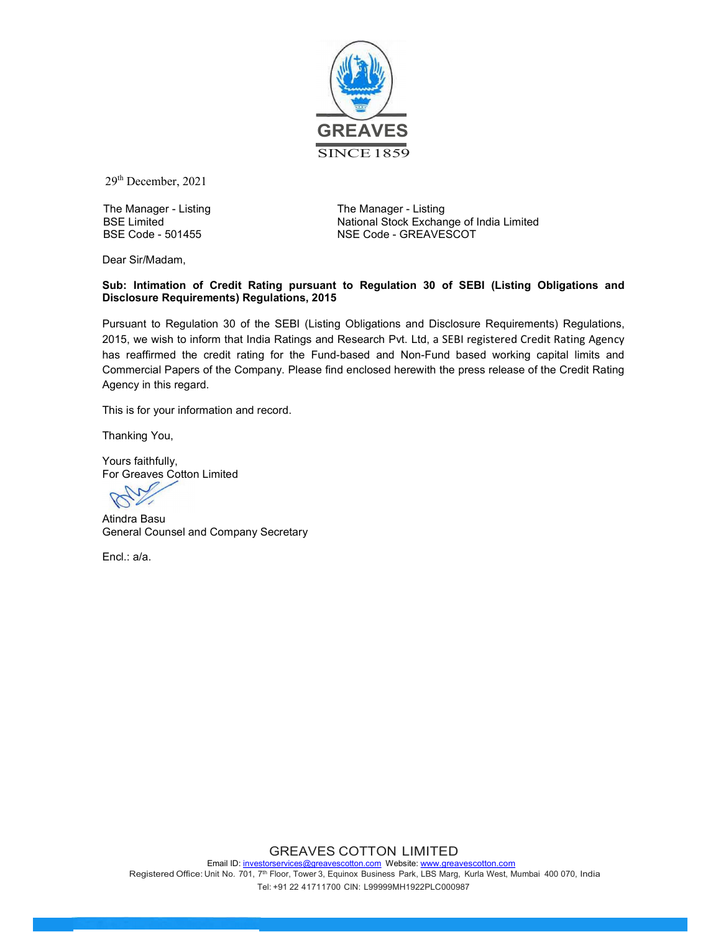

29th December, 2021

The Manager - Listing BSE Limited BSE Code - 501455

The Manager - Listing National Stock Exchange of India Limited NSE Code - GREAVESCOT

Dear Sir/Madam,

#### Sub: Intimation of Credit Rating pursuant to Regulation 30 of SEBI (Listing Obligations and Disclosure Requirements) Regulations, 2015

Pursuant to Regulation 30 of the SEBI (Listing Obligations and Disclosure Requirements) Regulations, 2015, we wish to inform that India Ratings and Research Pvt. Ltd, a SEBI registered Credit Rating Agency has reaffirmed the credit rating for the Fund-based and Non-Fund based working capital limits and Commercial Papers of the Company. Please find enclosed herewith the press release of the Credit Rating Agency in this regard.

This is for your information and record.

Thanking You,

Yours faithfully, For Greaves Cotton Limited

Atindra Basu General Counsel and Company Secretary

Encl.: a/a.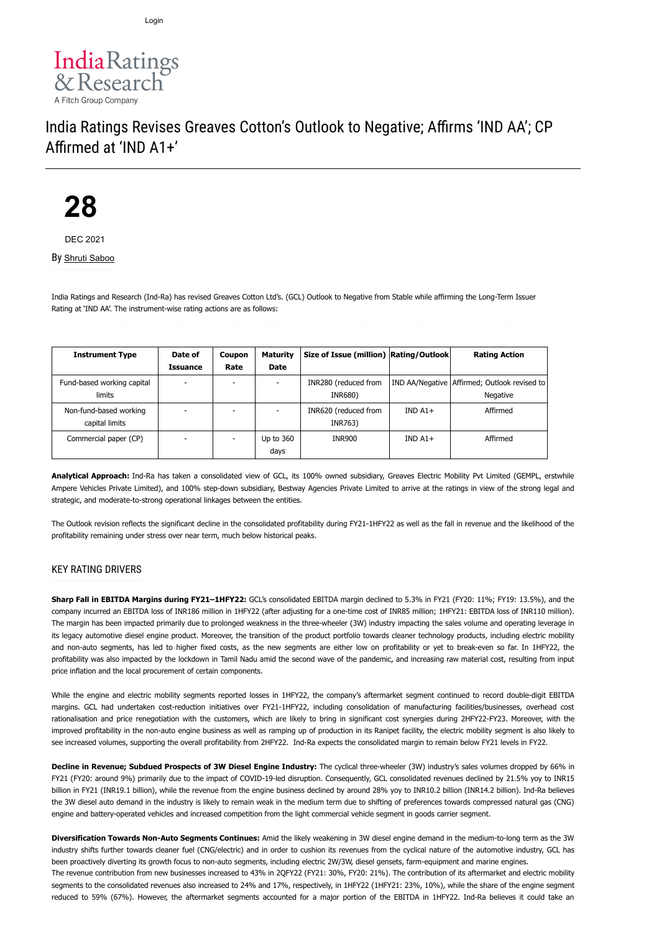

## India Ratings Revises Greaves Cotton's Outlook to Negative; Affirms 'IND AA'; CP Affirmed at 'IND A1+'

# **28**

DEC 2021

By [Shruti Saboo](https://www.indiaratings.co.in/Analyst?analystID=198&analystName=Shruti%20Saboo)

India Ratings and Research (Ind-Ra) has revised Greaves Cotton Ltd's. (GCL) Outlook to Negative from Stable while affirming the Long-Term Issuer Rating at 'IND AA'. The instrument-wise rating actions are as follows:

| <b>Instrument Type</b>                   | Date of<br>Issuance | Coupon<br>Rate | <b>Maturity</b><br><b>Date</b> | Size of Issue (million) Rating/Outlook |          | <b>Rating Action</b>                                     |
|------------------------------------------|---------------------|----------------|--------------------------------|----------------------------------------|----------|----------------------------------------------------------|
| Fund-based working capital<br>limits     |                     | ۰              |                                | INR280 (reduced from<br>INR680)        |          | IND AA/Negative Affirmed; Outlook revised to<br>Negative |
| Non-fund-based working<br>capital limits |                     | ۰              |                                | INR620 (reduced from<br>INR763)        | $INDA1+$ | Affirmed                                                 |
| Commercial paper (CP)                    |                     |                | Up to 360<br>days              | <b>INR900</b>                          | $INDA1+$ | Affirmed                                                 |

**Analytical Approach:** Ind-Ra has taken a consolidated view of GCL, its 100% owned subsidiary, Greaves Electric Mobility Pvt Limited (GEMPL, erstwhile Ampere Vehicles Private Limited), and 100% step-down subsidiary, Bestway Agencies Private Limited to arrive at the ratings in view of the strong legal and strategic, and moderate-to-strong operational linkages between the entities.

The Outlook revision reflects the significant decline in the consolidated profitability during FY21-1HFY22 as well as the fall in revenue and the likelihood of the profitability remaining under stress over near term, much below historical peaks.

#### KEY RATING DRIVERS

**Sharp Fall in EBITDA Margins during FY21–1HFY22:** GCL's consolidated EBITDA margin declined to 5.3% in FY21 (FY20: 11%; FY19: 13.5%), and the company incurred an EBITDA loss of INR186 million in 1HFY22 (after adjusting for a one-time cost of INR85 million; 1HFY21: EBITDA loss of INR110 million). The margin has been impacted primarily due to prolonged weakness in the three-wheeler (3W) industry impacting the sales volume and operating leverage in its legacy automotive diesel engine product. Moreover, the transition of the product portfolio towards cleaner technology products, including electric mobility and non-auto segments, has led to higher fixed costs, as the new segments are either low on profitability or yet to break-even so far. In 1HFY22, the profitability was also impacted by the lockdown in Tamil Nadu amid the second wave of the pandemic, and increasing raw material cost, resulting from input price inflation and the local procurement of certain components.

While the engine and electric mobility segments reported losses in 1HFY22, the company's aftermarket segment continued to record double-digit EBITDA margins. GCL had undertaken cost-reduction initiatives over FY21-1HFY22, including consolidation of manufacturing facilities/businesses, overhead cost rationalisation and price renegotiation with the customers, which are likely to bring in significant cost synergies during 2HFY22-FY23. Moreover, with the improved profitability in the non-auto engine business as well as ramping up of production in its Ranipet facility, the electric mobility segment is also likely to see increased volumes, supporting the overall profitability from 2HFY22. Ind-Ra expects the consolidated margin to remain below FY21 levels in FY22.

**Decline in Revenue; Subdued Prospects of 3W Diesel Engine Industry:** The cyclical three-wheeler (3W) industry's sales volumes dropped by 66% in FY21 (FY20: around 9%) primarily due to the impact of COVID-19-led disruption. Consequently, GCL consolidated revenues declined by 21.5% yoy to INR15 billion in FY21 (INR19.1 billion), while the revenue from the engine business declined by around 28% yoy to INR10.2 billion (INR14.2 billion). Ind-Ra believes the 3W diesel auto demand in the industry is likely to remain weak in the medium term due to shifting of preferences towards compressed natural gas (CNG) engine and battery-operated vehicles and increased competition from the light commercial vehicle segment in goods carrier segment.

**Diversification Towards Non-Auto Segments Continues:** Amid the likely weakening in 3W diesel engine demand in the medium-to-long term as the 3W industry shifts further towards cleaner fuel (CNG/electric) and in order to cushion its revenues from the cyclical nature of the automotive industry, GCL has been proactively diverting its growth focus to non-auto segments, including electric 2W/3W, diesel gensets, farm-equipment and marine engines.

The revenue contribution from new businesses increased to 43% in 2QFY22 (FY21: 30%, FY20: 21%). The contribution of its aftermarket and electric mobility segments to the consolidated revenues also increased to 24% and 17%, respectively, in 1HFY22 (1HFY21: 23%, 10%), while the share of the engine segment reduced to 59% (67%). However, the aftermarket segments accounted for a major portion of the EBITDA in 1HFY22. Ind-Ra believes it could take an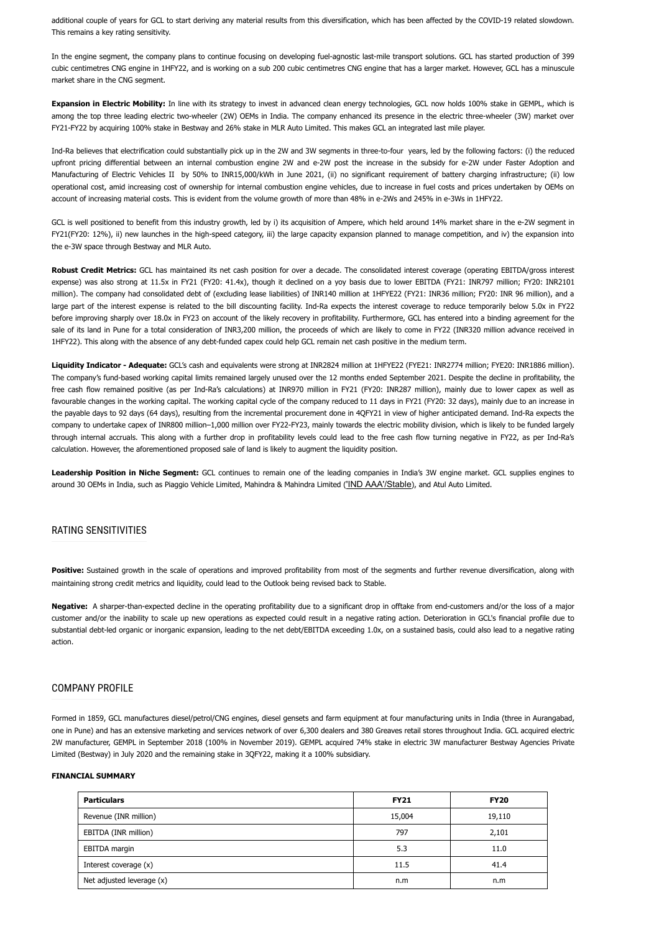additional couple of years for GCL to start deriving any material results from this diversification, which has been affected by the COVID-19 related slowdown. This remains a key rating sensitivity.

In the engine segment, the company plans to continue focusing on developing fuel-agnostic last-mile transport solutions. GCL has started production of 399 cubic centimetres CNG engine in 1HFY22, and is working on a sub 200 cubic centimetres CNG engine that has a larger market. However, GCL has a minuscule market share in the CNG segment.

**Expansion in Electric Mobility:** In line with its strategy to invest in advanced clean energy technologies, GCL now holds 100% stake in GEMPL, which is among the top three leading electric two-wheeler (2W) OEMs in India. The company enhanced its presence in the electric three-wheeler (3W) market over FY21-FY22 by acquiring 100% stake in Bestway and 26% stake in MLR Auto Limited. This makes GCL an integrated last mile player.

Ind-Ra believes that electrification could substantially pick up in the 2W and 3W segments in three-to-four years, led by the following factors: (i) the reduced upfront pricing differential between an internal combustion engine 2W and e-2W post the increase in the subsidy for e-2W under Faster Adoption and Manufacturing of Electric Vehicles II by 50% to INR15,000/kWh in June 2021, (ii) no significant requirement of battery charging infrastructure; (ii) low operational cost, amid increasing cost of ownership for internal combustion engine vehicles, due to increase in fuel costs and prices undertaken by OEMs on account of increasing material costs. This is evident from the volume growth of more than 48% in e-2Ws and 245% in e-3Ws in 1HFY22.

GCL is well positioned to benefit from this industry growth, led by i) its acquisition of Ampere, which held around 14% market share in the e-2W segment in FY21(FY20: 12%), ii) new launches in the high-speed category, iii) the large capacity expansion planned to manage competition, and iv) the expansion into the e-3W space through Bestway and MLR Auto.

**Robust Credit Metrics:** GCL has maintained its net cash position for over a decade. The consolidated interest coverage (operating EBITDA/gross interest expense) was also strong at 11.5x in FY21 (FY20: 41.4x), though it declined on a yoy basis due to lower EBITDA (FY21: INR797 million; FY20: INR2101 million). The company had consolidated debt of (excluding lease liabilities) of INR140 million at 1HFYE22 (FY21: INR36 million; FY20: INR 96 million), and a large part of the interest expense is related to the bill discounting facility. Ind-Ra expects the interest coverage to reduce temporarily below 5.0x in FY22 before improving sharply over 18.0x in FY23 on account of the likely recovery in profitability. Furthermore, GCL has entered into a binding agreement for the sale of its land in Pune for a total consideration of INR3,200 million, the proceeds of which are likely to come in FY22 (INR320 million advance received in 1HFY22). This along with the absence of any debt-funded capex could help GCL remain net cash positive in the medium term.

**Liquidity Indicator - Adequate:** GCL's cash and equivalents were strong at INR2824 million at 1HFYE22 (FYE21: INR2774 million; FYE20: INR1886 million). The company's fund-based working capital limits remained largely unused over the 12 months ended September 2021. Despite the decline in profitability, the free cash flow remained positive (as per Ind-Ra's calculations) at INR970 million in FY21 (FY20: INR287 million), mainly due to lower capex as well as favourable changes in the working capital. The working capital cycle of the company reduced to 11 days in FY21 (FY20: 32 days), mainly due to an increase in the payable days to 92 days (64 days), resulting from the incremental procurement done in 4QFY21 in view of higher anticipated demand. Ind-Ra expects the company to undertake capex of INR800 million–1,000 million over FY22-FY23, mainly towards the electric mobility division, which is likely to be funded largely through internal accruals. This along with a further drop in profitability levels could lead to the free cash flow turning negative in FY22, as per Ind-Ra's calculation. However, the aforementioned proposed sale of land is likely to augment the liquidity position.

**Leadership Position in Niche Segment:** GCL continues to remain one of the leading companies in India's 3W engine market. GCL supplies engines to around 30 OEMs in India, such as Piaggio Vehicle Limited, Mahindra & Mahindra Limited (['IND AAA'/Stable](https://www.indiaratings.co.in/PressRelease?pressReleaseID=56192)), and Atul Auto Limited.

#### RATING SENSITIVITIES

Positive: Sustained growth in the scale of operations and improved profitability from most of the segments and further revenue diversification, along with maintaining strong credit metrics and liquidity, could lead to the Outlook being revised back to Stable.

**Negative:** A sharper-than-expected decline in the operating profitability due to a significant drop in offtake from end-customers and/or the loss of a major customer and/or the inability to scale up new operations as expected could result in a negative rating action. Deterioration in GCL's financial profile due to substantial debt-led organic or inorganic expansion, leading to the net debt/EBITDA exceeding 1.0x, on a sustained basis, could also lead to a negative rating action.

#### COMPANY PROFILE

Formed in 1859, GCL manufactures diesel/petrol/CNG engines, diesel gensets and farm equipment at four manufacturing units in India (three in Aurangabad, one in Pune) and has an extensive marketing and services network of over 6,300 dealers and 380 Greaves retail stores throughout India. GCL acquired electric 2W manufacturer, GEMPL in September 2018 (100% in November 2019). GEMPL acquired 74% stake in electric 3W manufacturer Bestway Agencies Private Limited (Bestway) in July 2020 and the remaining stake in 3QFY22, making it a 100% subsidiary.

#### **FINANCIAL SUMMARY**

| <b>Particulars</b>        | <b>FY21</b> | <b>FY20</b> |  |
|---------------------------|-------------|-------------|--|
| Revenue (INR million)     | 15,004      | 19,110      |  |
| EBITDA (INR million)      | 797         | 2,101       |  |
| EBITDA margin             | 5.3         | 11.0        |  |
| Interest coverage (x)     | 11.5        | 41.4        |  |
| Net adjusted leverage (x) | n.m         | n.m         |  |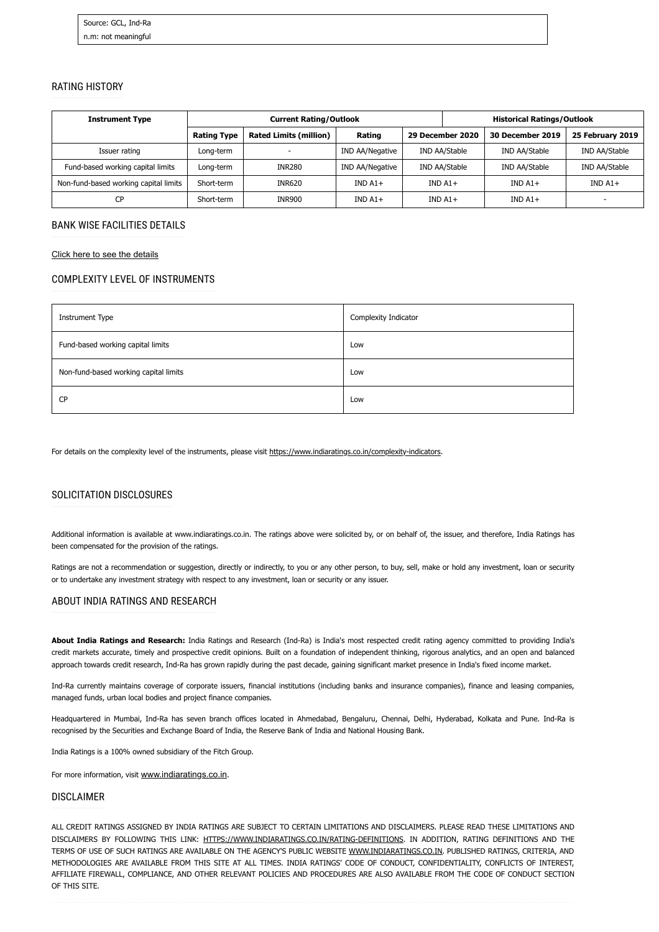#### RATING HISTORY

| <b>Instrument Type</b>                | <b>Current Rating/Outlook</b> |                               |                 |               | <b>Historical Ratings/Outlook</b> |                         |                  |
|---------------------------------------|-------------------------------|-------------------------------|-----------------|---------------|-----------------------------------|-------------------------|------------------|
|                                       | <b>Rating Type</b>            | <b>Rated Limits (million)</b> | Rating          |               | 29 December 2020                  | <b>30 December 2019</b> | 25 February 2019 |
| Issuer rating                         | Long-term                     |                               | IND AA/Negative | IND AA/Stable |                                   | IND AA/Stable           | IND AA/Stable    |
| Fund-based working capital limits     | Long-term                     | <b>INR280</b>                 | IND AA/Negative | IND AA/Stable |                                   | IND AA/Stable           | IND AA/Stable    |
| Non-fund-based working capital limits | Short-term                    | <b>INR620</b>                 | $INDA1+$        | $INDA1+$      |                                   | $INDA1+$                | $INDA1+$         |
| CP                                    | Short-term                    | <b>INR900</b>                 | $INDA1+$        |               | $INDA1+$                          | $INDA1+$                |                  |

#### BANK WISE FACILITIES DETAILS

[Click here to see the details](https://www.indiaratings.co.in/PressRelease/BankersDetailsHTML?PressReleaseId=57099)

#### COMPLEXITY LEVEL OF INSTRUMENTS

| <b>Instrument Type</b>                | Complexity Indicator |
|---------------------------------------|----------------------|
| Fund-based working capital limits     | Low                  |
| Non-fund-based working capital limits | Low                  |
| <b>CP</b>                             | Low                  |

For details on the complexity level of the instruments, please visit <https://www.indiaratings.co.in/complexity-indicators>.

#### SOLICITATION DISCLOSURES

Additional information is available at www.indiaratings.co.in. The ratings above were solicited by, or on behalf of, the issuer, and therefore, India Ratings has been compensated for the provision of the ratings.

Ratings are not a recommendation or suggestion, directly or indirectly, to you or any other person, to buy, sell, make or hold any investment, loan or security or to undertake any investment strategy with respect to any investment, loan or security or any issuer.

#### ABOUT INDIA RATINGS AND RESEARCH

**About India Ratings and Research:** India Ratings and Research (Ind-Ra) is India's most respected credit rating agency committed to providing India's credit markets accurate, timely and prospective credit opinions. Built on a foundation of independent thinking, rigorous analytics, and an open and balanced approach towards credit research, Ind-Ra has grown rapidly during the past decade, gaining significant market presence in India's fixed income market.

Ind-Ra currently maintains coverage of corporate issuers, financial institutions (including banks and insurance companies), finance and leasing companies, managed funds, urban local bodies and project finance companies.

Headquartered in Mumbai, Ind-Ra has seven branch offices located in Ahmedabad, Bengaluru, Chennai, Delhi, Hyderabad, Kolkata and Pune. Ind-Ra is recognised by the Securities and Exchange Board of India, the Reserve Bank of India and National Housing Bank.

India Ratings is a 100% owned subsidiary of the Fitch Group.

For more information, visit [www.indiaratings.co.in](http://www.indiaratings.co.in/).

#### DISCLAIMER

ALL CREDIT RATINGS ASSIGNED BY INDIA RATINGS ARE SUBJECT TO CERTAIN LIMITATIONS AND DISCLAIMERS. PLEASE READ THESE LIMITATIONS AND DISCLAIMERS BY FOLLOWING THIS LINK: [HTTPS://WWW.INDIARATINGS.CO.IN/RATING-DEFINITIONS.](https://www.indiaratings.co.in/rating-definitions) IN ADDITION, RATING DEFINITIONS AND THE TERMS OF USE OF SUCH RATINGS ARE AVAILABLE ON THE AGENCY'S PUBLIC WEBSITE [WWW.INDIARATINGS.CO.IN.](http://www.indiaratings.co.in/) PUBLISHED RATINGS, CRITERIA, AND METHODOLOGIES ARE AVAILABLE FROM THIS SITE AT ALL TIMES. INDIA RATINGS' CODE OF CONDUCT, CONFIDENTIALITY, CONFLICTS OF INTEREST, AFFILIATE FIREWALL, COMPLIANCE, AND OTHER RELEVANT POLICIES AND PROCEDURES ARE ALSO AVAILABLE FROM THE CODE OF CONDUCT SECTION OF THIS SITE.